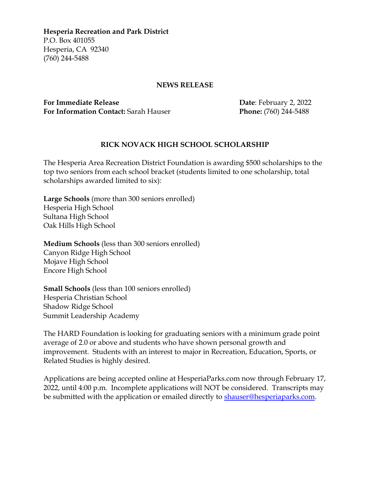**Hesperia Recreation and Park District** P.O. Box 401055 Hesperia, CA 92340 (760) 244-5488

## **NEWS RELEASE**

**For Immediate Release Date: February 2, 2022 For Information Contact:** Sarah Hauser **Phone:** (760) 244-5488

## **RICK NOVACK HIGH SCHOOL SCHOLARSHIP**

The Hesperia Area Recreation District Foundation is awarding \$500 scholarships to the top two seniors from each school bracket (students limited to one scholarship, total scholarships awarded limited to six):

**Large Schools** (more than 300 seniors enrolled) Hesperia High School Sultana High School Oak Hills High School

**Medium Schools** (less than 300 seniors enrolled) Canyon Ridge High School Mojave High School Encore High School

**Small Schools** (less than 100 seniors enrolled) Hesperia Christian School Shadow Ridge School Summit Leadership Academy

The HARD Foundation is looking for graduating seniors with a minimum grade point average of 2.0 or above and students who have shown personal growth and improvement. Students with an interest to major in Recreation, Education, Sports, or Related Studies is highly desired.

Applications are being accepted online at HesperiaParks.com now through February 17, 2022, until 4:00 p.m. Incomplete applications will NOT be considered. Transcripts may be submitted with the application or emailed directly to **shauser@hesperiaparks.com**.